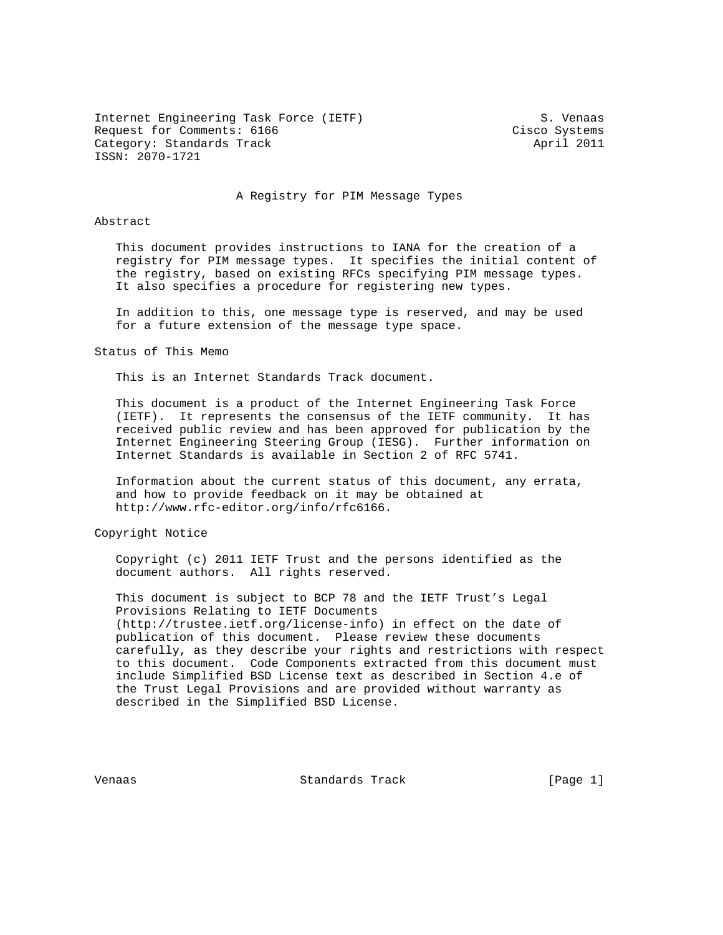Internet Engineering Task Force (IETF) S. Venaas Request for Comments: 6166 Cisco Systems Category: Standards Track April 2011 ISSN: 2070-1721

#### A Registry for PIM Message Types

## Abstract

 This document provides instructions to IANA for the creation of a registry for PIM message types. It specifies the initial content of the registry, based on existing RFCs specifying PIM message types. It also specifies a procedure for registering new types.

 In addition to this, one message type is reserved, and may be used for a future extension of the message type space.

Status of This Memo

This is an Internet Standards Track document.

 This document is a product of the Internet Engineering Task Force (IETF). It represents the consensus of the IETF community. It has received public review and has been approved for publication by the Internet Engineering Steering Group (IESG). Further information on Internet Standards is available in Section 2 of RFC 5741.

 Information about the current status of this document, any errata, and how to provide feedback on it may be obtained at http://www.rfc-editor.org/info/rfc6166.

Copyright Notice

 Copyright (c) 2011 IETF Trust and the persons identified as the document authors. All rights reserved.

 This document is subject to BCP 78 and the IETF Trust's Legal Provisions Relating to IETF Documents (http://trustee.ietf.org/license-info) in effect on the date of publication of this document. Please review these documents carefully, as they describe your rights and restrictions with respect to this document. Code Components extracted from this document must include Simplified BSD License text as described in Section 4.e of the Trust Legal Provisions and are provided without warranty as described in the Simplified BSD License.

Venaas Standards Track [Page 1]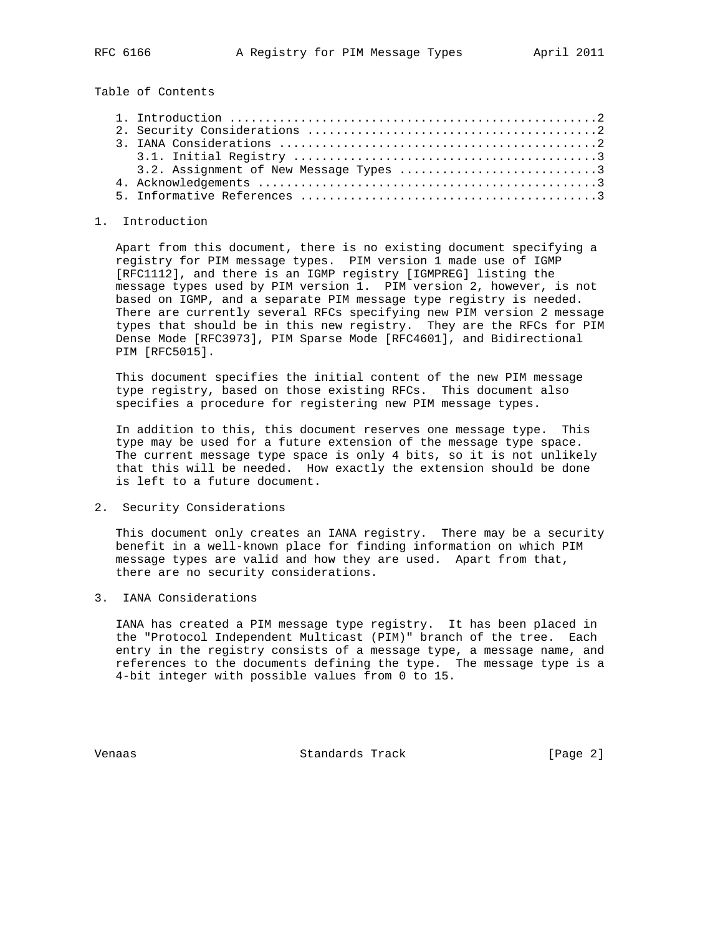Table of Contents

## 1. Introduction

 Apart from this document, there is no existing document specifying a registry for PIM message types. PIM version 1 made use of IGMP [RFC1112], and there is an IGMP registry [IGMPREG] listing the message types used by PIM version 1. PIM version 2, however, is not based on IGMP, and a separate PIM message type registry is needed. There are currently several RFCs specifying new PIM version 2 message types that should be in this new registry. They are the RFCs for PIM Dense Mode [RFC3973], PIM Sparse Mode [RFC4601], and Bidirectional PIM [RFC5015].

 This document specifies the initial content of the new PIM message type registry, based on those existing RFCs. This document also specifies a procedure for registering new PIM message types.

 In addition to this, this document reserves one message type. This type may be used for a future extension of the message type space. The current message type space is only 4 bits, so it is not unlikely that this will be needed. How exactly the extension should be done is left to a future document.

2. Security Considerations

 This document only creates an IANA registry. There may be a security benefit in a well-known place for finding information on which PIM message types are valid and how they are used. Apart from that, there are no security considerations.

3. IANA Considerations

 IANA has created a PIM message type registry. It has been placed in the "Protocol Independent Multicast (PIM)" branch of the tree. Each entry in the registry consists of a message type, a message name, and references to the documents defining the type. The message type is a 4-bit integer with possible values from 0 to 15.

Venaas Standards Track [Page 2]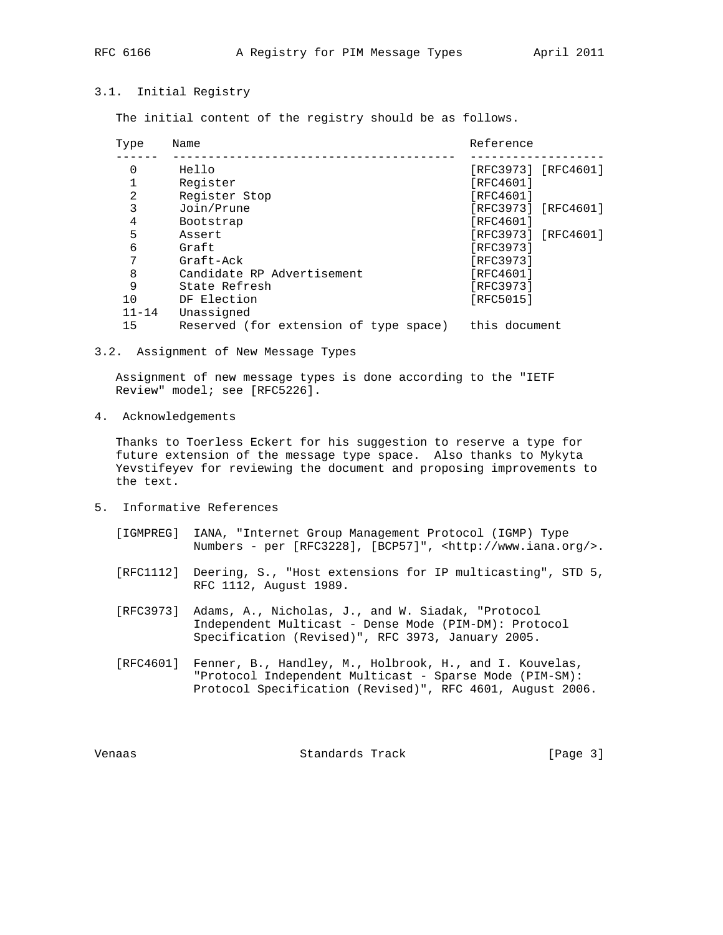# 3.1. Initial Registry

The initial content of the registry should be as follows.

| Name                                   | Reference           |
|----------------------------------------|---------------------|
| Hello                                  | [RFC3973] [RFC4601] |
| Register                               | [RFC4601]           |
| Register Stop                          | [RFC4601]           |
| Join/Prune                             | [RFC3973] [RFC4601] |
| Bootstrap                              | [RFC4601]           |
| Assert                                 | [RFC3973] [RFC4601] |
| Graft                                  | [RFC3973]           |
| Graft-Ack                              | [RFC3973]           |
| Candidate RP Advertisement             | [RFC4601]           |
| State Refresh                          | [RFC3973]           |
| DF Election                            | [RFC5015]           |
| Unassigned                             |                     |
| Reserved (for extension of type space) | this document       |
|                                        |                     |

3.2. Assignment of New Message Types

 Assignment of new message types is done according to the "IETF Review" model; see [RFC5226].

4. Acknowledgements

 Thanks to Toerless Eckert for his suggestion to reserve a type for future extension of the message type space. Also thanks to Mykyta Yevstifeyev for reviewing the document and proposing improvements to the text.

- 5. Informative References
	- [IGMPREG] IANA, "Internet Group Management Protocol (IGMP) Type Numbers - per [RFC3228], [BCP57]", <http://www.iana.org/>.
	- [RFC1112] Deering, S., "Host extensions for IP multicasting", STD 5, RFC 1112, August 1989.
	- [RFC3973] Adams, A., Nicholas, J., and W. Siadak, "Protocol Independent Multicast - Dense Mode (PIM-DM): Protocol Specification (Revised)", RFC 3973, January 2005.
	- [RFC4601] Fenner, B., Handley, M., Holbrook, H., and I. Kouvelas, "Protocol Independent Multicast - Sparse Mode (PIM-SM): Protocol Specification (Revised)", RFC 4601, August 2006.

Venaas Standards Track [Page 3]